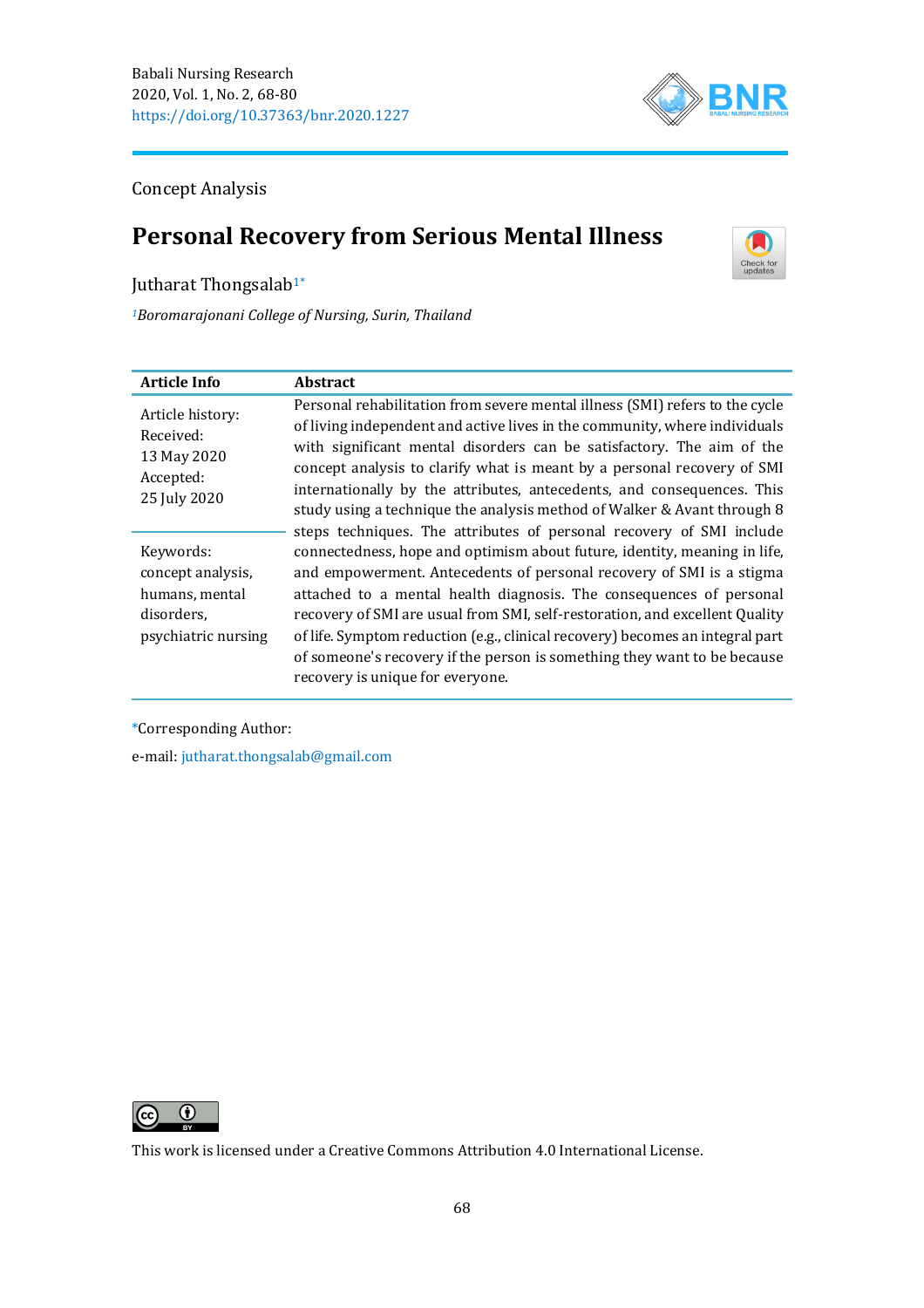

Concept Analysis

# **Personal Recovery from Serious Mental Illness**



Jutharat Thongsalab<sup>1\*</sup>

*<sup>1</sup>Boromarajonani College of Nursing, Surin, Thailand*

| <b>Article Info</b>                                                                   | <b>Abstract</b>                                                                                                                                                                                                                                                                                                                                                                                                                                                                                                                                                                                                                                                                                                                                                                                                                                                                                                                                                                                                                                         |
|---------------------------------------------------------------------------------------|---------------------------------------------------------------------------------------------------------------------------------------------------------------------------------------------------------------------------------------------------------------------------------------------------------------------------------------------------------------------------------------------------------------------------------------------------------------------------------------------------------------------------------------------------------------------------------------------------------------------------------------------------------------------------------------------------------------------------------------------------------------------------------------------------------------------------------------------------------------------------------------------------------------------------------------------------------------------------------------------------------------------------------------------------------|
| Article history:<br>Received:<br>13 May 2020<br>Accepted:<br>25 July 2020             | Personal rehabilitation from severe mental illness (SMI) refers to the cycle<br>of living independent and active lives in the community, where individuals<br>with significant mental disorders can be satisfactory. The aim of the<br>concept analysis to clarify what is meant by a personal recovery of SMI<br>internationally by the attributes, antecedents, and consequences. This<br>study using a technique the analysis method of Walker & Avant through 8<br>steps techniques. The attributes of personal recovery of SMI include<br>connectedness, hope and optimism about future, identity, meaning in life,<br>and empowerment. Antecedents of personal recovery of SMI is a stigma<br>attached to a mental health diagnosis. The consequences of personal<br>recovery of SMI are usual from SMI, self-restoration, and excellent Quality<br>of life. Symptom reduction (e.g., clinical recovery) becomes an integral part<br>of someone's recovery if the person is something they want to be because<br>recovery is unique for everyone. |
| Keywords:<br>concept analysis,<br>humans, mental<br>disorders,<br>psychiatric nursing |                                                                                                                                                                                                                                                                                                                                                                                                                                                                                                                                                                                                                                                                                                                                                                                                                                                                                                                                                                                                                                                         |

\*Corresponding Author:

e-mail: [jutharat.thongsalab@gmail.com](mailto:jutharat.thongsalab@gmail.com)



This work is licensed under a [Creative Commons Attribution 4.0 International License.](https://creativecommons.org/licenses/by/4.0/)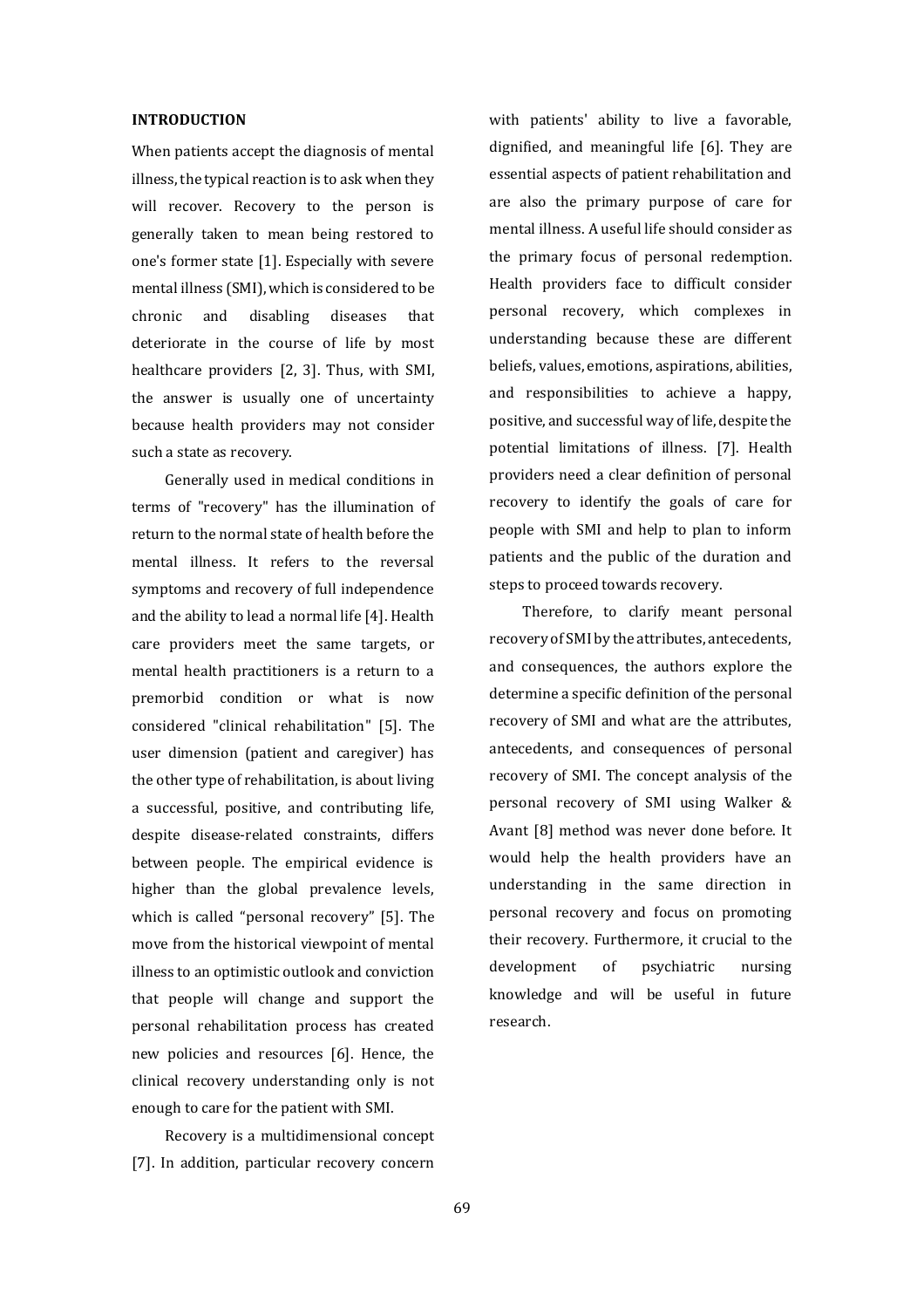#### **INTRODUCTION**

When patients accept the diagnosis of mental illness, the typical reaction is to ask when they will recover. Recovery to the person is generally taken to mean being restored to one's former state [1]. Especially with severe mental illness (SMI), which is considered to be chronic and disabling diseases that deteriorate in the course of life by most healthcare providers [2, 3]. Thus, with SMI, the answer is usually one of uncertainty because health providers may not consider such a state as recovery.

Generally used in medical conditions in terms of "recovery" has the illumination of return to the normal state of health before the mental illness. It refers to the reversal symptoms and recovery of full independence and the ability to lead a normal life [4]. Health care providers meet the same targets, or mental health practitioners is a return to a premorbid condition or what is now considered "clinical rehabilitation" [5]. The user dimension (patient and caregiver) has the other type of rehabilitation, is about living a successful, positive, and contributing life, despite disease-related constraints, differs between people. The empirical evidence is higher than the global prevalence levels, which is called "personal recovery" [5]. The move from the historical viewpoint of mental illness to an optimistic outlook and conviction that people will change and support the personal rehabilitation process has created new policies and resources [6]. Hence, the clinical recovery understanding only is not enough to care for the patient with SMI.

Recovery is a multidimensional concept [7]. In addition, particular recovery concern

with patients' ability to live a favorable, dignified, and meaningful life [6]. They are essential aspects of patient rehabilitation and are also the primary purpose of care for mental illness. A useful life should consider as the primary focus of personal redemption. Health providers face to difficult consider personal recovery, which complexes in understanding because these are different beliefs, values, emotions, aspirations, abilities, and responsibilities to achieve a happy, positive, and successful way of life, despite the potential limitations of illness. [7]. Health providers need a clear definition of personal recovery to identify the goals of care for people with SMI and help to plan to inform patients and the public of the duration and steps to proceed towards recovery.

Therefore, to clarify meant personal recovery of SMI by the attributes, antecedents, and consequences, the authors explore the determine a specific definition of the personal recovery of SMI and what are the attributes, antecedents, and consequences of personal recovery of SMI. The concept analysis of the personal recovery of SMI using Walker & Avant [8] method was never done before. It would help the health providers have an understanding in the same direction in personal recovery and focus on promoting their recovery. Furthermore, it crucial to the development of psychiatric nursing knowledge and will be useful in future research.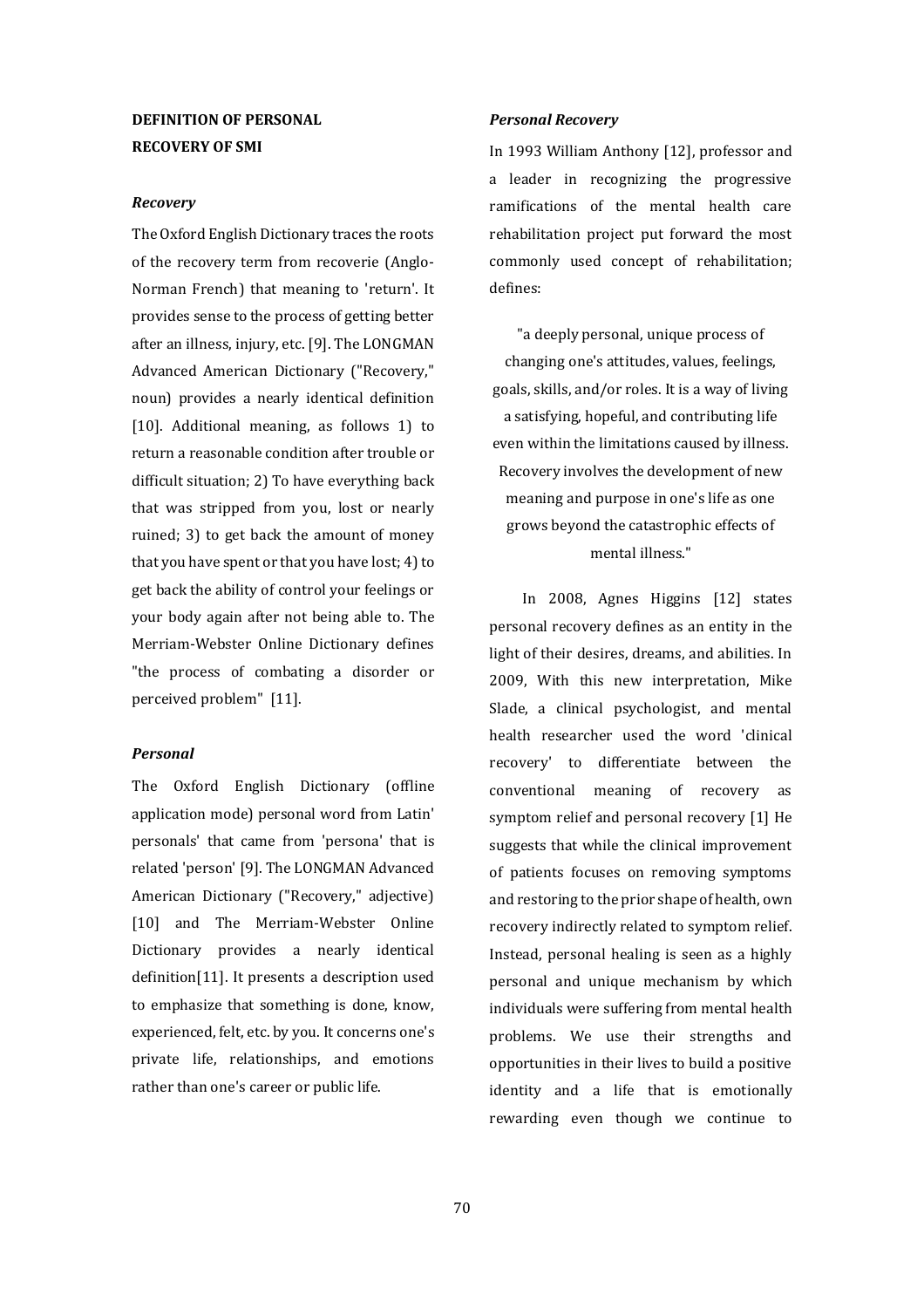# **DEFINITION OF PERSONAL RECOVERY OF SMI**

#### *Recovery*

The Oxford English Dictionary traces the roots of the recovery term from recoverie (Anglo-Norman French) that meaning to 'return'. It provides sense to the process of getting better after an illness, injury, etc. [9]. The LONGMAN Advanced American Dictionary ("Recovery," noun) provides a nearly identical definition [10]. Additional meaning, as follows 1) to return a reasonable condition after trouble or difficult situation; 2) To have everything back that was stripped from you, lost or nearly ruined; 3) to get back the amount of money that you have spent or that you have lost; 4) to get back the ability of control your feelings or your body again after not being able to. The Merriam-Webster Online Dictionary defines "the process of combating a disorder or perceived problem" [11].

#### *Personal*

The Oxford English Dictionary (offline application mode) personal word from Latin' personals' that came from 'persona' that is related 'person' [9]. The LONGMAN Advanced American Dictionary ("Recovery," adjective) [10] and The Merriam-Webster Online Dictionary provides a nearly identical definition[11]. It presents a description used to emphasize that something is done, know, experienced, felt, etc. by you. It concerns one's private life, relationships, and emotions rather than one's career or public life.

#### *Personal Recovery*

In 1993 William Anthony [12], professor and a leader in recognizing the progressive ramifications of the mental health care rehabilitation project put forward the most commonly used concept of rehabilitation; defines:

"a deeply personal, unique process of changing one's attitudes, values, feelings, goals, skills, and/or roles. It is a way of living a satisfying, hopeful, and contributing life even within the limitations caused by illness. Recovery involves the development of new meaning and purpose in one's life as one grows beyond the catastrophic effects of mental illness."

In 2008, Agnes Higgins [12] states personal recovery defines as an entity in the light of their desires, dreams, and abilities. In 2009, With this new interpretation, Mike Slade, a clinical psychologist, and mental health researcher used the word 'clinical recovery' to differentiate between the conventional meaning of recovery as symptom relief and personal recovery [1] He suggests that while the clinical improvement of patients focuses on removing symptoms and restoring to the prior shape of health, own recovery indirectly related to symptom relief. Instead, personal healing is seen as a highly personal and unique mechanism by which individuals were suffering from mental health problems. We use their strengths and opportunities in their lives to build a positive identity and a life that is emotionally rewarding even though we continue to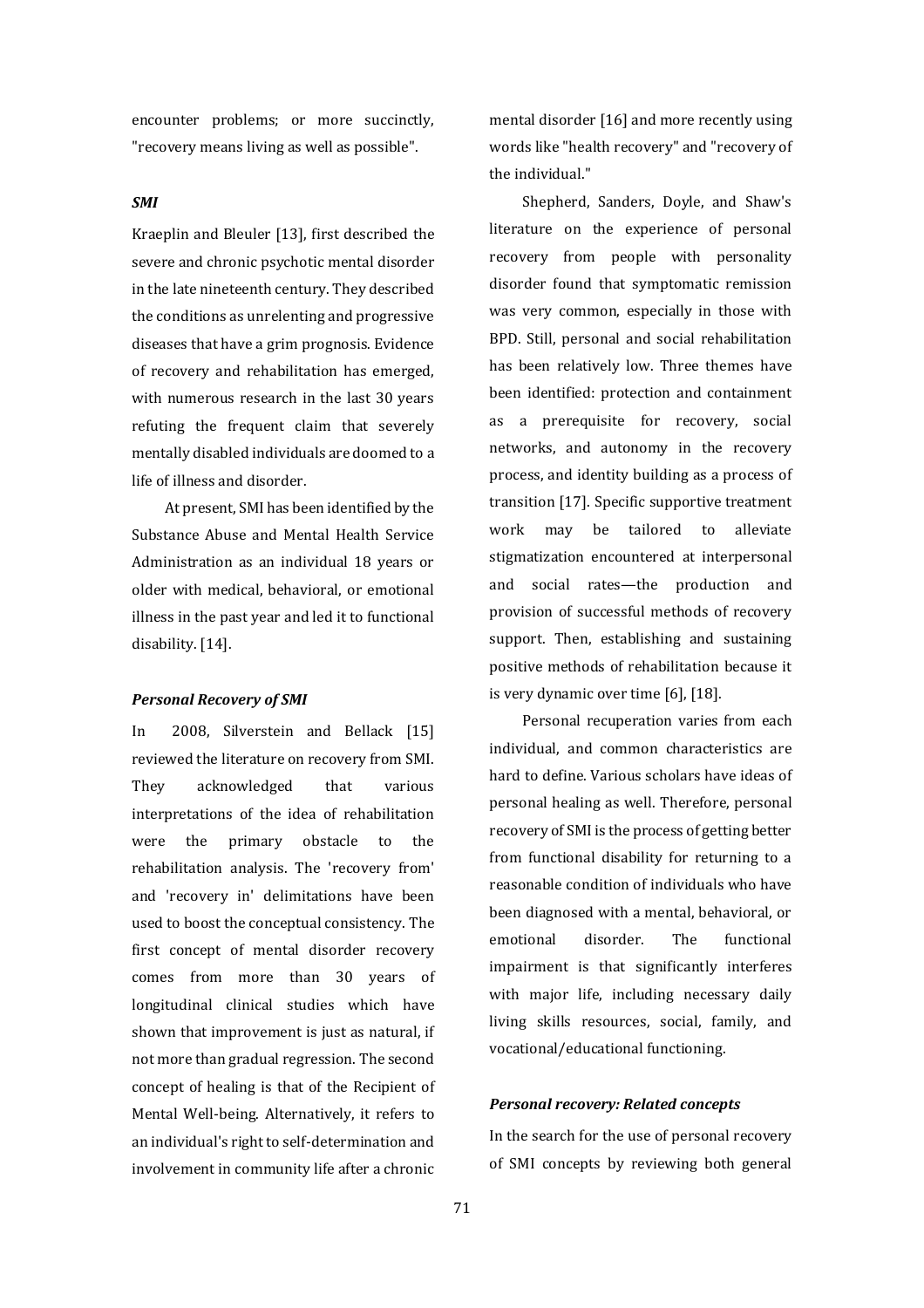encounter problems; or more succinctly, "recovery means living as well as possible".

#### *SMI*

Kraeplin and Bleuler [13], first described the severe and chronic psychotic mental disorder in the late nineteenth century. They described the conditions as unrelenting and progressive diseases that have a grim prognosis. Evidence of recovery and rehabilitation has emerged, with numerous research in the last 30 years refuting the frequent claim that severely mentally disabled individuals are doomed to a life of illness and disorder.

At present, SMI has been identified by the Substance Abuse and Mental Health Service Administration as an individual 18 years or older with medical, behavioral, or emotional illness in the past year and led it to functional disability. [14].

#### *Personal Recovery of SMI*

In 2008, Silverstein and Bellack [15] reviewed the literature on recovery from SMI. They acknowledged that various interpretations of the idea of rehabilitation were the primary obstacle to the rehabilitation analysis. The 'recovery from' and 'recovery in' delimitations have been used to boost the conceptual consistency. The first concept of mental disorder recovery comes from more than 30 years of longitudinal clinical studies which have shown that improvement is just as natural, if not more than gradual regression. The second concept of healing is that of the Recipient of Mental Well-being. Alternatively, it refers to an individual's right to self-determination and involvement in community life after a chronic

mental disorder [16] and more recently using words like "health recovery" and "recovery of the individual."

Shepherd, Sanders, Doyle, and Shaw's literature on the experience of personal recovery from people with personality disorder found that symptomatic remission was very common, especially in those with BPD. Still, personal and social rehabilitation has been relatively low. Three themes have been identified: protection and containment as a prerequisite for recovery, social networks, and autonomy in the recovery process, and identity building as a process of transition [17]. Specific supportive treatment work may be tailored to alleviate stigmatization encountered at interpersonal and social rates—the production and provision of successful methods of recovery support. Then, establishing and sustaining positive methods of rehabilitation because it is very dynamic over time [6], [18].

Personal recuperation varies from each individual, and common characteristics are hard to define. Various scholars have ideas of personal healing as well. Therefore, personal recovery of SMI is the process of getting better from functional disability for returning to a reasonable condition of individuals who have been diagnosed with a mental, behavioral, or emotional disorder. The functional impairment is that significantly interferes with major life, including necessary daily living skills resources, social, family, and vocational/educational functioning.

## *Personal recovery: Related concepts*

In the search for the use of personal recovery of SMI concepts by reviewing both general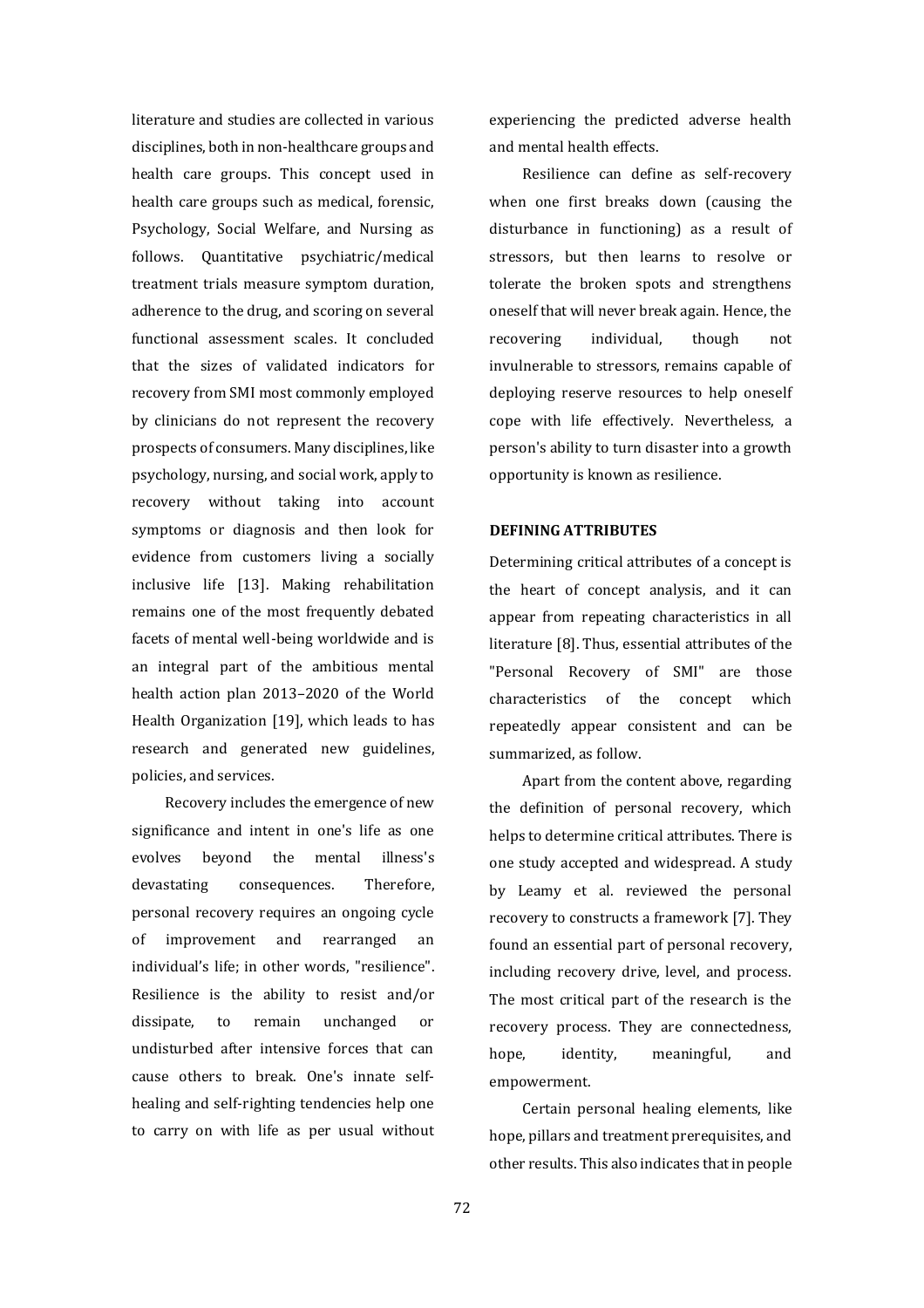literature and studies are collected in various disciplines, both in non-healthcare groups and health care groups. This concept used in health care groups such as medical, forensic, Psychology, Social Welfare, and Nursing as follows. Quantitative psychiatric/medical treatment trials measure symptom duration, adherence to the drug, and scoring on several functional assessment scales. It concluded that the sizes of validated indicators for recovery from SMI most commonly employed by clinicians do not represent the recovery prospects of consumers. Many disciplines, like psychology, nursing, and social work, apply to recovery without taking into account symptoms or diagnosis and then look for evidence from customers living a socially inclusive life [13]. Making rehabilitation remains one of the most frequently debated facets of mental well-being worldwide and is an integral part of the ambitious mental health action plan 2013–2020 of the World Health Organization [19], which leads to has research and generated new guidelines, policies, and services.

Recovery includes the emergence of new significance and intent in one's life as one evolves beyond the mental illness's devastating consequences. Therefore, personal recovery requires an ongoing cycle of improvement and rearranged an individual's life; in other words, "resilience". Resilience is the ability to resist and/or dissipate, to remain unchanged or undisturbed after intensive forces that can cause others to break. One's innate selfhealing and self-righting tendencies help one to carry on with life as per usual without

experiencing the predicted adverse health and mental health effects.

Resilience can define as self-recovery when one first breaks down (causing the disturbance in functioning) as a result of stressors, but then learns to resolve or tolerate the broken spots and strengthens oneself that will never break again. Hence, the recovering individual, though not invulnerable to stressors, remains capable of deploying reserve resources to help oneself cope with life effectively. Nevertheless, a person's ability to turn disaster into a growth opportunity is known as resilience.

# **DEFINING ATTRIBUTES**

Determining critical attributes of a concept is the heart of concept analysis, and it can appear from repeating characteristics in all literature [8]. Thus, essential attributes of the "Personal Recovery of SMI" are those characteristics of the concept which repeatedly appear consistent and can be summarized, as follow.

Apart from the content above, regarding the definition of personal recovery, which helps to determine critical attributes. There is one study accepted and widespread. A study by Leamy et al. reviewed the personal recovery to constructs a framework [7]. They found an essential part of personal recovery, including recovery drive, level, and process. The most critical part of the research is the recovery process. They are connectedness, hope, identity, meaningful, and empowerment.

Certain personal healing elements, like hope, pillars and treatment prerequisites, and other results. This also indicates that in people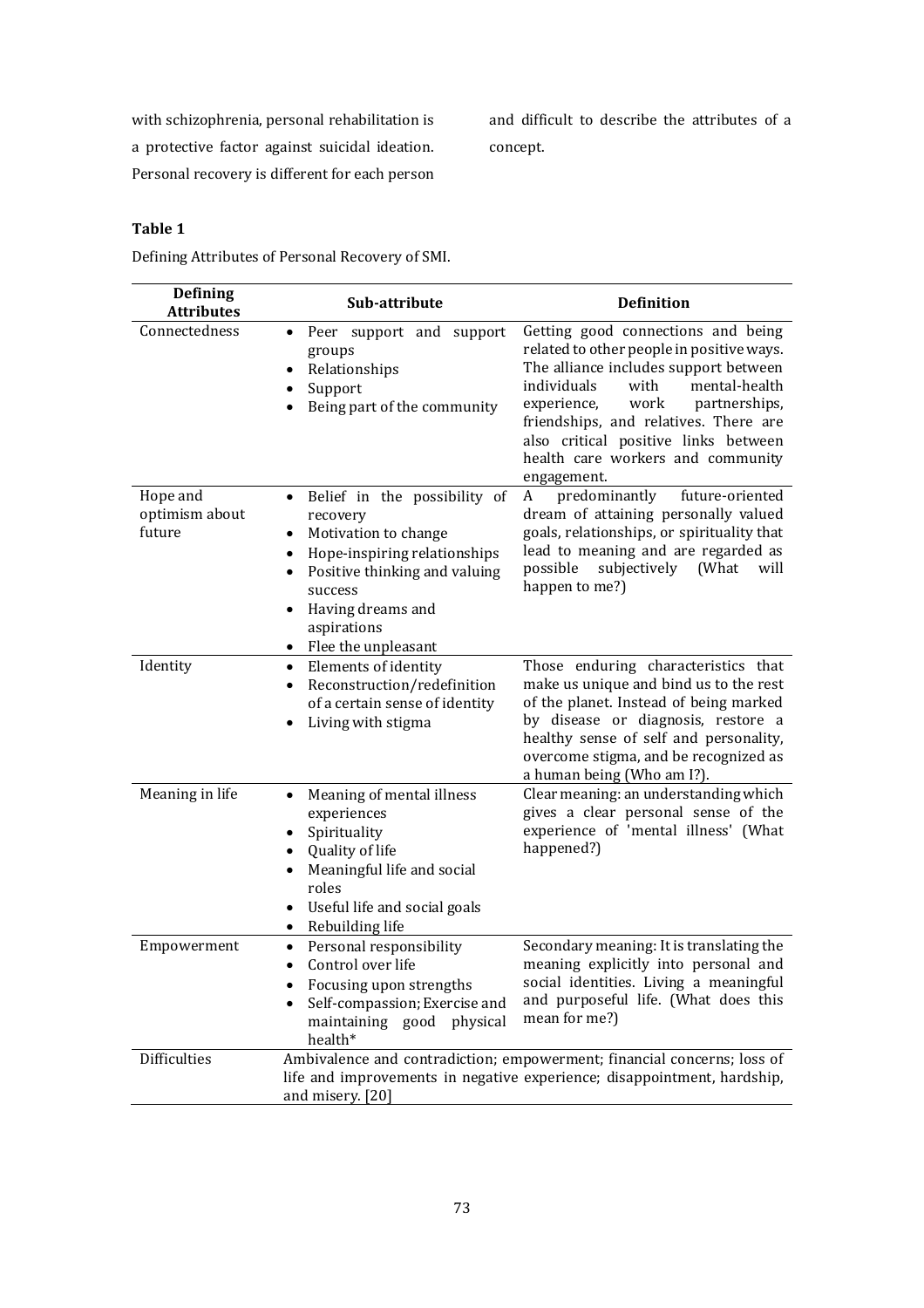with schizophrenia, personal rehabilitation is a protective factor against suicidal ideation. Personal recovery is different for each person and difficult to describe the attributes of a concept.

# **Table 1**

Defining Attributes of Personal Recovery of SMI.

| <b>Defining</b><br><b>Attributes</b> | Sub-attribute                                                                                                                                                                                                        | <b>Definition</b>                                                                                                                                                                                                                                                                                                                             |
|--------------------------------------|----------------------------------------------------------------------------------------------------------------------------------------------------------------------------------------------------------------------|-----------------------------------------------------------------------------------------------------------------------------------------------------------------------------------------------------------------------------------------------------------------------------------------------------------------------------------------------|
| Connectedness                        | Peer support and support<br>٠<br>groups<br>Relationships<br>$\bullet$<br>Support<br>Being part of the community                                                                                                      | Getting good connections and being<br>related to other people in positive ways.<br>The alliance includes support between<br>mental-health<br>individuals<br>with<br>work<br>experience,<br>partnerships,<br>friendships, and relatives. There are<br>also critical positive links between<br>health care workers and community<br>engagement. |
| Hope and<br>optimism about<br>future | Belief in the possibility of<br>$\bullet$<br>recovery<br>Motivation to change<br>Hope-inspiring relationships<br>Positive thinking and valuing<br>success<br>Having dreams and<br>aspirations<br>Flee the unpleasant | predominantly<br>future-oriented<br>A<br>dream of attaining personally valued<br>goals, relationships, or spirituality that<br>lead to meaning and are regarded as<br>subjectively<br>possible<br>(What<br>will<br>happen to me?)                                                                                                             |
| Identity                             | Elements of identity<br>$\bullet$<br>Reconstruction/redefinition<br>$\bullet$<br>of a certain sense of identity<br>Living with stigma                                                                                | Those enduring characteristics that<br>make us unique and bind us to the rest<br>of the planet. Instead of being marked<br>by disease or diagnosis, restore a<br>healthy sense of self and personality,<br>overcome stigma, and be recognized as<br>a human being (Who am I?).                                                                |
| Meaning in life                      | Meaning of mental illness<br>experiences<br>Spirituality<br>Quality of life<br>Meaningful life and social<br>roles<br>Useful life and social goals<br>Rebuilding life                                                | Clear meaning: an understanding which<br>gives a clear personal sense of the<br>experience of 'mental illness' (What<br>happened?)                                                                                                                                                                                                            |
| Empowerment                          | Personal responsibility<br>$\bullet$<br>Control over life<br>٠<br>Focusing upon strengths<br>Self-compassion; Exercise and<br>maintaining good<br>physical<br>health*                                                | Secondary meaning: It is translating the<br>meaning explicitly into personal and<br>social identities. Living a meaningful<br>and purposeful life. (What does this<br>mean for me?)                                                                                                                                                           |
| Difficulties                         | Ambivalence and contradiction; empowerment; financial concerns; loss of<br>life and improvements in negative experience; disappointment, hardship,<br>and misery. [20]                                               |                                                                                                                                                                                                                                                                                                                                               |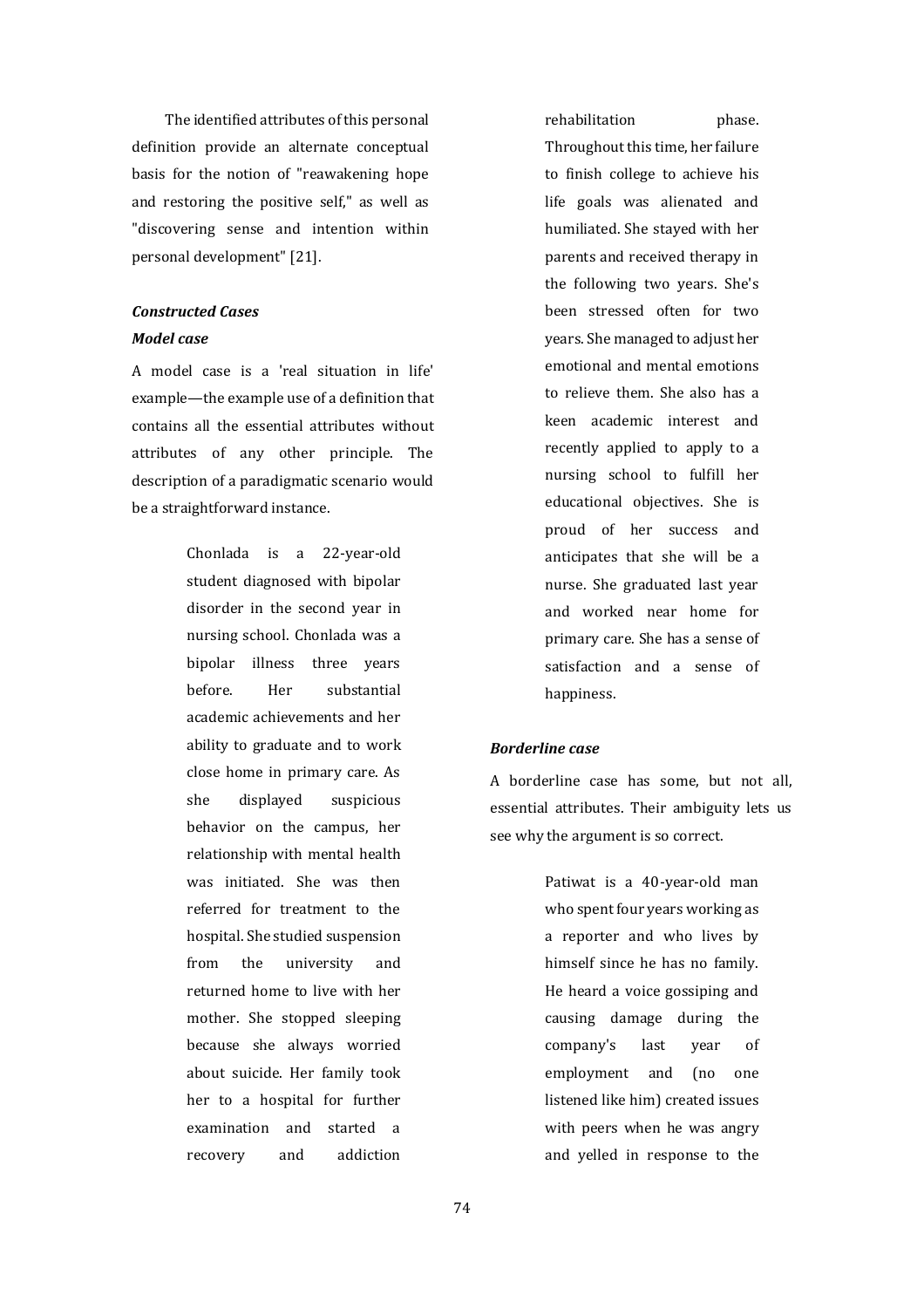The identified attributes of this personal definition provide an alternate conceptual basis for the notion of "reawakening hope and restoring the positive self," as well as "discovering sense and intention within personal development" [21].

# *Constructed Cases*

#### *Model case*

A model case is a 'real situation in life' example—the example use of a definition that contains all the essential attributes without attributes of any other principle. The description of a paradigmatic scenario would be a straightforward instance.

> Chonlada is a 22-year-old student diagnosed with bipolar disorder in the second year in nursing school. Chonlada was a bipolar illness three years before. Her substantial academic achievements and her ability to graduate and to work close home in primary care. As she displayed suspicious behavior on the campus, her relationship with mental health was initiated. She was then referred for treatment to the hospital. She studied suspension from the university and returned home to live with her mother. She stopped sleeping because she always worried about suicide. Her family took her to a hospital for further examination and started a recovery and addiction

rehabilitation **phase**.

Throughout this time, her failure to finish college to achieve his life goals was alienated and humiliated. She stayed with her parents and received therapy in the following two years. She's been stressed often for two years. She managed to adjust her emotional and mental emotions to relieve them. She also has a keen academic interest and recently applied to apply to a nursing school to fulfill her educational objectives. She is proud of her success and anticipates that she will be a nurse. She graduated last year and worked near home for primary care. She has a sense of satisfaction and a sense of happiness.

## *Borderline case*

A borderline case has some, but not all, essential attributes. Their ambiguity lets us see why the argument is so correct.

> Patiwat is a 40-year-old man who spent four years working as a reporter and who lives by himself since he has no family. He heard a voice gossiping and causing damage during the company's last year of employment and (no one listened like him) created issues with peers when he was angry and yelled in response to the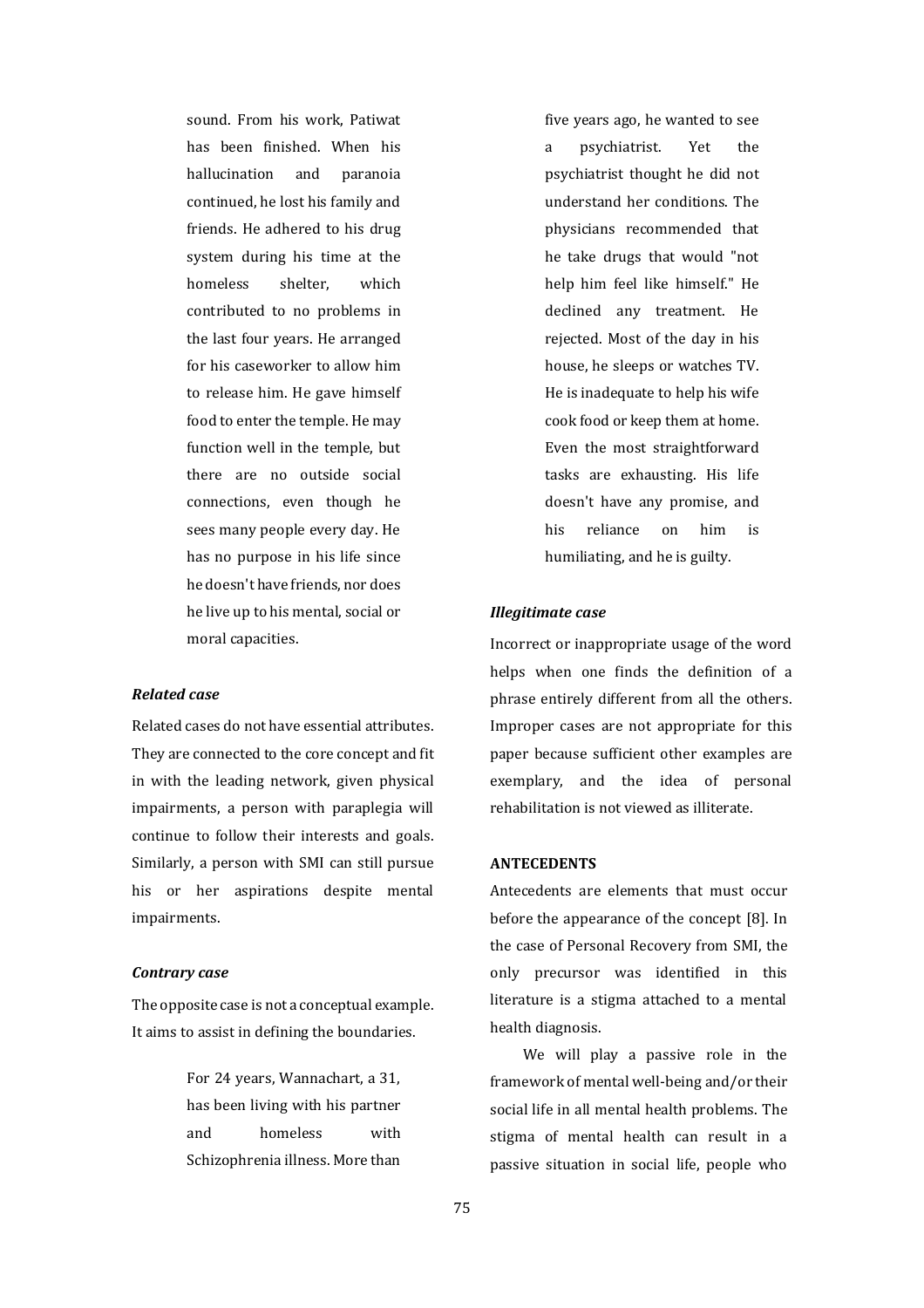sound. From his work, Patiwat has been finished. When his hallucination and paranoia continued, he lost his family and friends. He adhered to his drug system during his time at the homeless shelter, which contributed to no problems in the last four years. He arranged for his caseworker to allow him to release him. He gave himself food to enter the temple. He may function well in the temple, but there are no outside social connections, even though he sees many people every day. He has no purpose in his life since he doesn't have friends, nor does he live up to his mental, social or moral capacities.

#### *Related case*

Related cases do not have essential attributes. They are connected to the core concept and fit in with the leading network, given physical impairments, a person with paraplegia will continue to follow their interests and goals. Similarly, a person with SMI can still pursue his or her aspirations despite mental impairments.

#### *Contrary case*

The opposite case is not a conceptual example. It aims to assist in defining the boundaries.

> For 24 years, Wannachart, a 31, has been living with his partner and homeless with Schizophrenia illness. More than

five years ago, he wanted to see a psychiatrist. Yet the psychiatrist thought he did not understand her conditions. The physicians recommended that he take drugs that would "not help him feel like himself." He declined any treatment. He rejected. Most of the day in his house, he sleeps or watches TV. He is inadequate to help his wife cook food or keep them at home. Even the most straightforward tasks are exhausting. His life doesn't have any promise, and his reliance on him is humiliating, and he is guilty.

#### *Illegitimate case*

Incorrect or inappropriate usage of the word helps when one finds the definition of a phrase entirely different from all the others. Improper cases are not appropriate for this paper because sufficient other examples are exemplary, and the idea of personal rehabilitation is not viewed as illiterate.

### **ANTECEDENTS**

Antecedents are elements that must occur before the appearance of the concept [8]. In the case of Personal Recovery from SMI, the only precursor was identified in this literature is a stigma attached to a mental health diagnosis.

We will play a passive role in the framework of mental well-being and/or their social life in all mental health problems. The stigma of mental health can result in a passive situation in social life, people who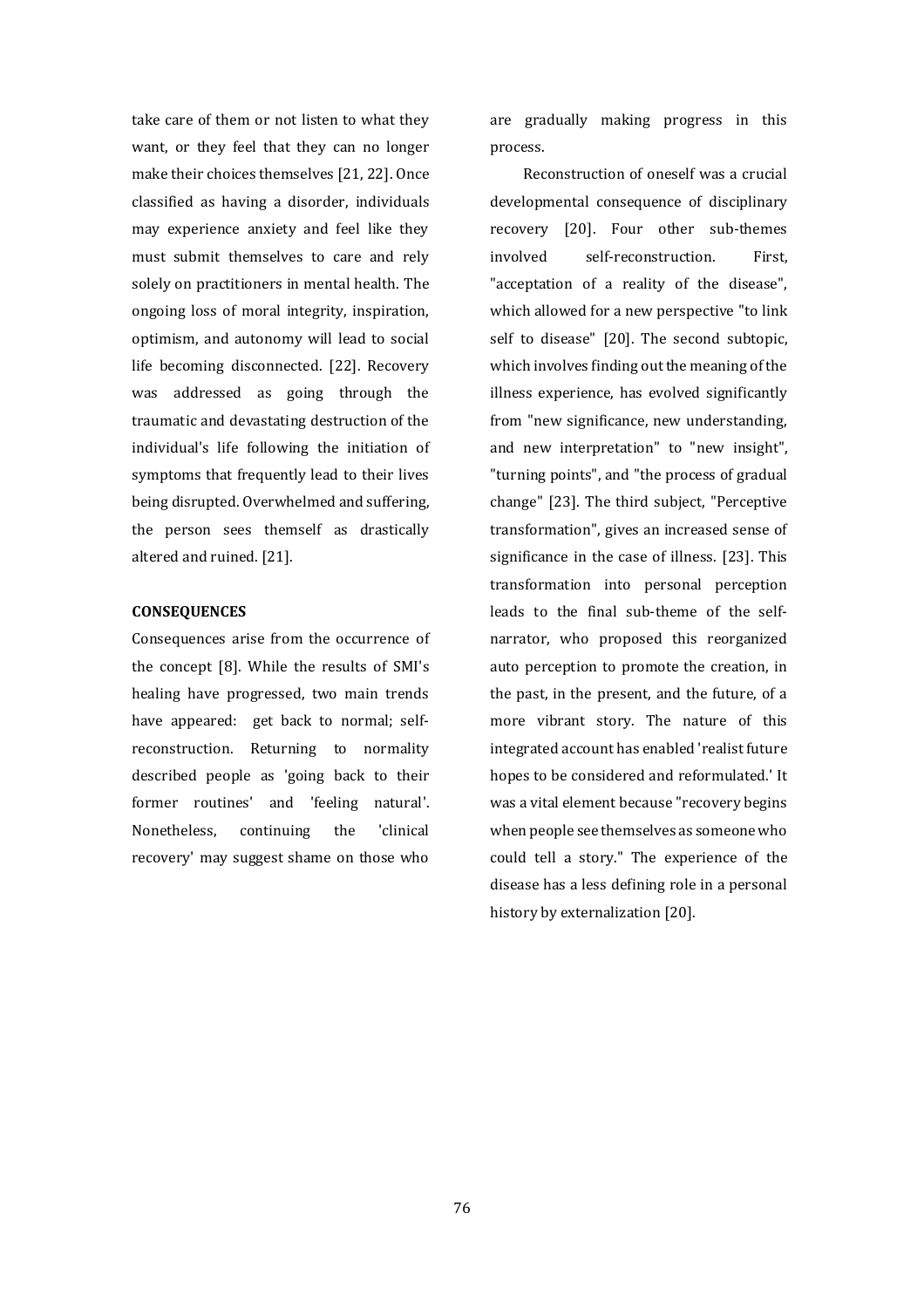take care of them or not listen to what they want, or they feel that they can no longer make their choices themselves [21, 22]. Once classified as having a disorder, individuals may experience anxiety and feel like they must submit themselves to care and rely solely on practitioners in mental health. The ongoing loss of moral integrity, inspiration, optimism, and autonomy will lead to social life becoming disconnected. [22]. Recovery was addressed as going through the traumatic and devastating destruction of the individual's life following the initiation of symptoms that frequently lead to their lives being disrupted. Overwhelmed and suffering, the person sees themself as drastically altered and ruined. [21].

#### **CONSEQUENCES**

Consequences arise from the occurrence of the concept [8]. While the results of SMI's healing have progressed, two main trends have appeared: get back to normal; selfreconstruction. Returning to normality described people as 'going back to their former routines' and 'feeling natural'. Nonetheless, continuing the 'clinical recovery' may suggest shame on those who

are gradually making progress in this process.

Reconstruction of oneself was a crucial developmental consequence of disciplinary recovery [20]. Four other sub-themes involved self-reconstruction. First, "acceptation of a reality of the disease", which allowed for a new perspective "to link self to disease" [20]. The second subtopic, which involves finding out the meaning of the illness experience, has evolved significantly from "new significance, new understanding, and new interpretation" to "new insight", "turning points", and "the process of gradual change" [23]. The third subject, "Perceptive transformation", gives an increased sense of significance in the case of illness. [23]. This transformation into personal perception leads to the final sub-theme of the selfnarrator, who proposed this reorganized auto perception to promote the creation, in the past, in the present, and the future, of a more vibrant story. The nature of this integrated account has enabled 'realist future hopes to be considered and reformulated.' It was a vital element because "recovery begins when people see themselves as someone who could tell a story." The experience of the disease has a less defining role in a personal history by externalization [20].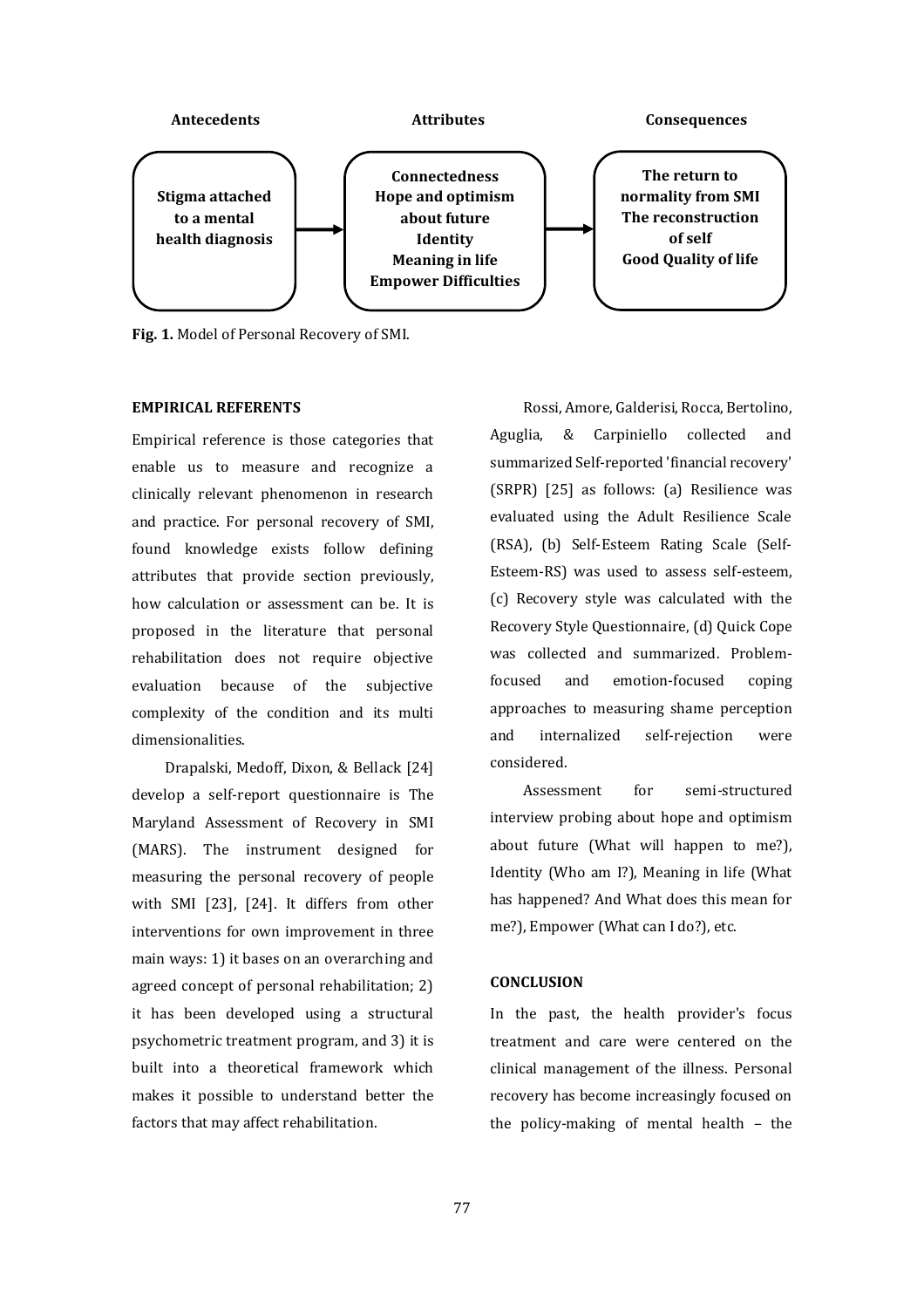

**Fig. 1.** Model of Personal Recovery of SMI.

# **EMPIRICAL REFERENTS**

Empirical reference is those categories that enable us to measure and recognize a clinically relevant phenomenon in research and practice. For personal recovery of SMI, found knowledge exists follow defining attributes that provide section previously, how calculation or assessment can be. It is proposed in the literature that personal rehabilitation does not require objective evaluation because of the subjective complexity of the condition and its multi dimensionalities.

Drapalski, Medoff, Dixon, & Bellack [24] develop a self-report questionnaire is The Maryland Assessment of Recovery in SMI (MARS). The instrument designed for measuring the personal recovery of people with SMI [23], [24]. It differs from other interventions for own improvement in three main ways: 1) it bases on an overarching and agreed concept of personal rehabilitation; 2) it has been developed using a structural psychometric treatment program, and 3) it is built into a theoretical framework which makes it possible to understand better the factors that may affect rehabilitation.

Rossi, Amore, Galderisi, Rocca, Bertolino, Aguglia, & Carpiniello collected and summarized Self-reported 'financial recovery' (SRPR) [25] as follows: (a) Resilience was evaluated using the Adult Resilience Scale (RSA), (b) Self-Esteem Rating Scale (Self-Esteem-RS) was used to assess self-esteem, (c) Recovery style was calculated with the Recovery Style Questionnaire, (d) Quick Cope was collected and summarized. Problemfocused and emotion-focused coping approaches to measuring shame perception and internalized self-rejection were considered.

Assessment for semi-structured interview probing about hope and optimism about future (What will happen to me?), Identity (Who am I?), Meaning in life (What has happened? And What does this mean for me?), Empower (What can I do?), etc.

#### **CONCLUSION**

In the past, the health provider's focus treatment and care were centered on the clinical management of the illness. Personal recovery has become increasingly focused on the policy-making of mental health – the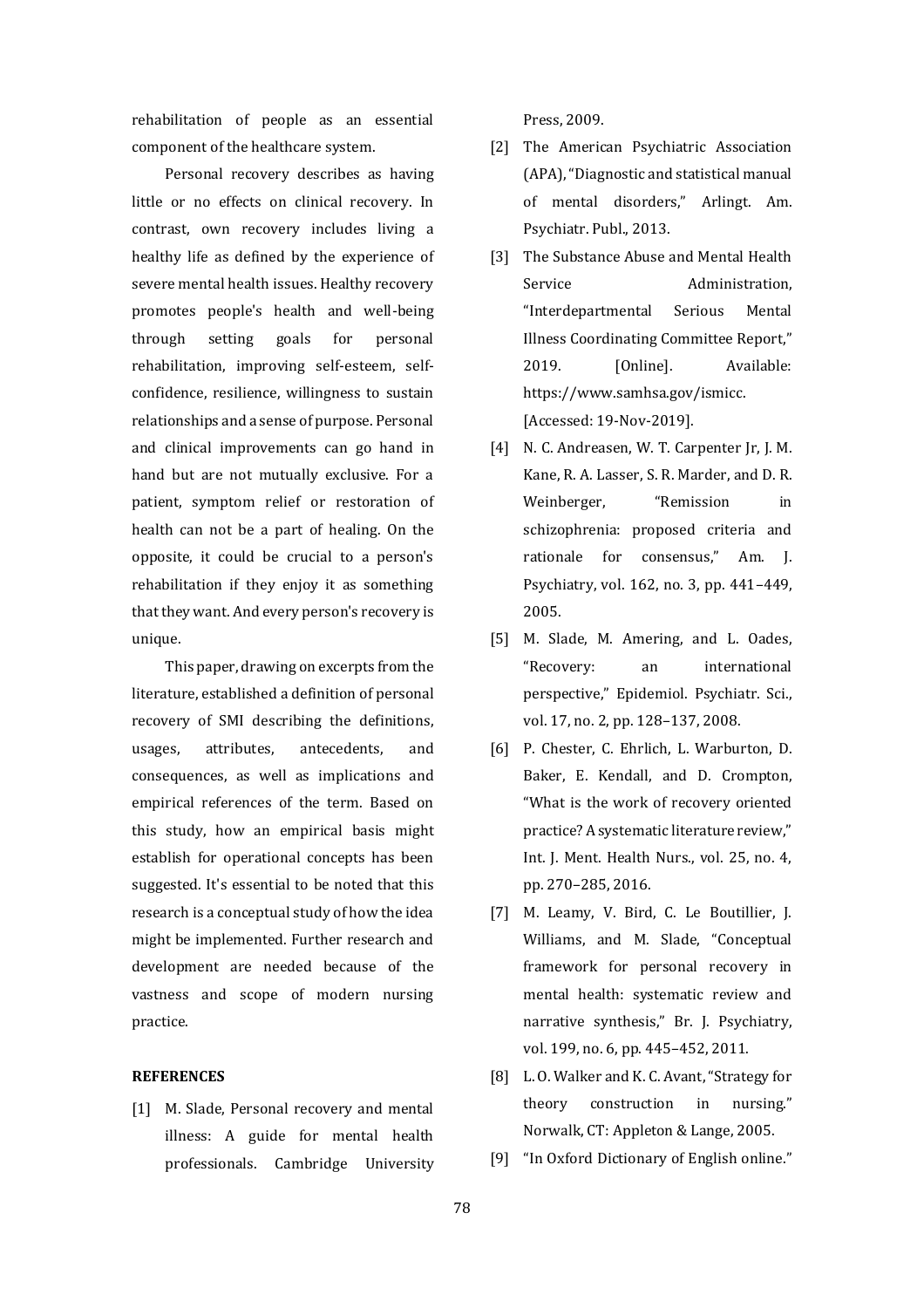rehabilitation of people as an essential component of the healthcare system.

Personal recovery describes as having little or no effects on clinical recovery. In contrast, own recovery includes living a healthy life as defined by the experience of severe mental health issues. Healthy recovery promotes people's health and well-being through setting goals for personal rehabilitation, improving self-esteem, selfconfidence, resilience, willingness to sustain relationships and a sense of purpose. Personal and clinical improvements can go hand in hand but are not mutually exclusive. For a patient, symptom relief or restoration of health can not be a part of healing. On the opposite, it could be crucial to a person's rehabilitation if they enjoy it as something that they want. And every person's recovery is unique.

This paper, drawing on excerpts from the literature, established a definition of personal recovery of SMI describing the definitions, usages, attributes, antecedents, and consequences, as well as implications and empirical references of the term. Based on this study, how an empirical basis might establish for operational concepts has been suggested. It's essential to be noted that this research is a conceptual study of how the idea might be implemented. Further research and development are needed because of the vastness and scope of modern nursing practice.

## **REFERENCES**

[1] M. Slade, Personal recovery and mental illness: A guide for mental health professionals. Cambridge University Press, 2009.

- [2] The American Psychiatric Association (APA), "Diagnostic and statistical manual of mental disorders," Arlingt. Am. Psychiatr. Publ., 2013.
- [3] The Substance Abuse and Mental Health Service **Administration**, "Interdepartmental Serious Mental Illness Coordinating Committee Report," 2019. [Online]. Available: https://www.samhsa.gov/ismicc. [Accessed: 19-Nov-2019].
- [4] N. C. Andreasen, W. T. Carpenter Jr, J. M. Kane, R. A. Lasser, S. R. Marder, and D. R. Weinberger, "Remission in schizophrenia: proposed criteria and rationale for consensus," Am. J. Psychiatry, vol. 162, no. 3, pp. 441–449, 2005.
- [5] M. Slade, M. Amering, and L. Oades, "Recovery: an international perspective," Epidemiol. Psychiatr. Sci., vol. 17, no. 2, pp. 128–137, 2008.
- [6] P. Chester, C. Ehrlich, L. Warburton, D. Baker, E. Kendall, and D. Crompton, "What is the work of recovery oriented practice? A systematic literature review," Int. J. Ment. Health Nurs., vol. 25, no. 4, pp. 270–285, 2016.
- [7] M. Leamy, V. Bird, C. Le Boutillier, J. Williams, and M. Slade, "Conceptual framework for personal recovery in mental health: systematic review and narrative synthesis," Br. J. Psychiatry, vol. 199, no. 6, pp. 445–452, 2011.
- [8] L. O. Walker and K. C. Avant, "Strategy for theory construction in nursing." Norwalk, CT: Appleton & Lange, 2005.
- [9] "In Oxford Dictionary of English online."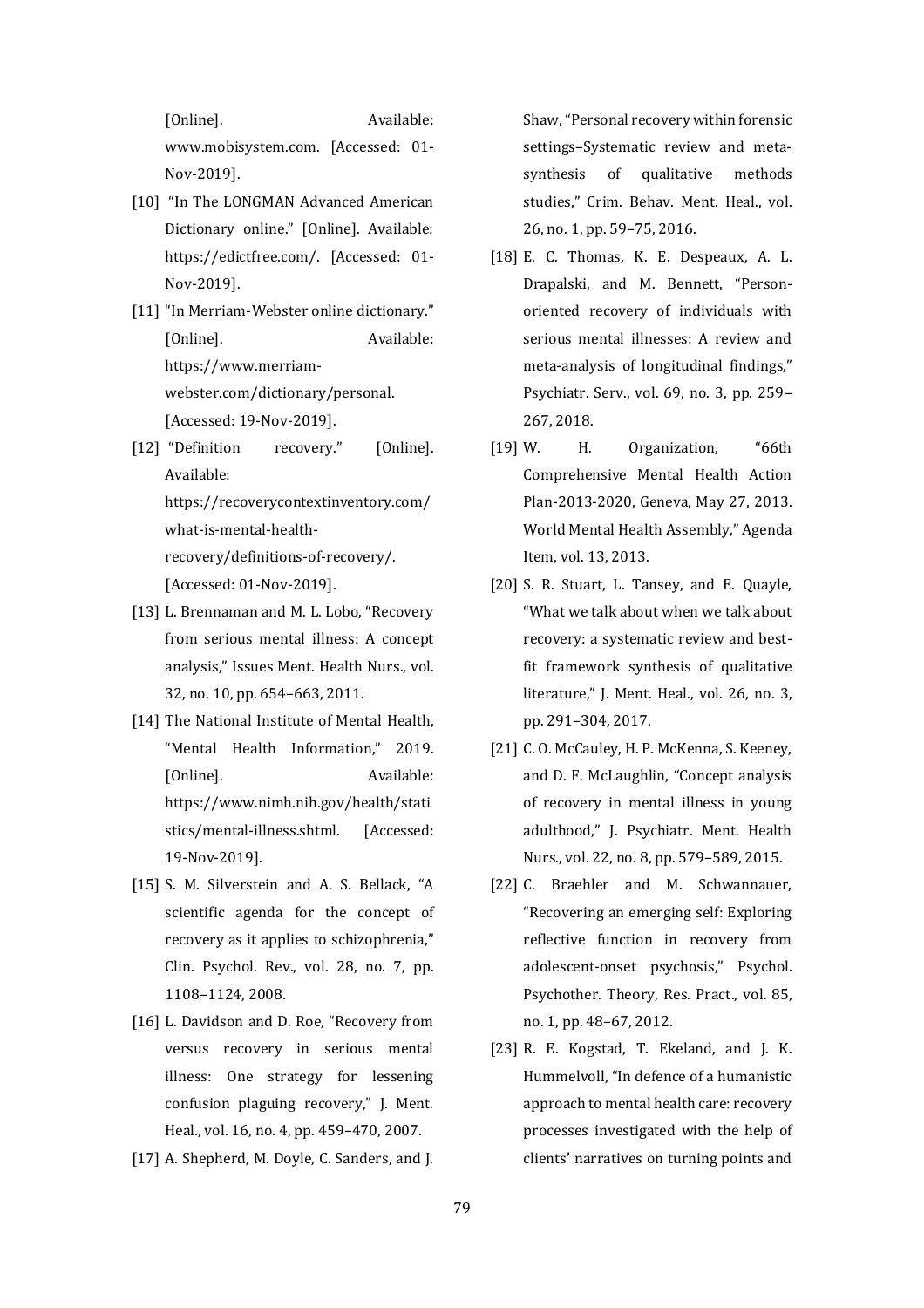[Online]. Available: www.mobisystem.com. [Accessed: 01- Nov-2019].

- [10] "In The LONGMAN Advanced American Dictionary online." [Online]. Available: https://edictfree.com/. [Accessed: 01- Nov-2019].
- [11] "In Merriam-Webster online dictionary." [Online]. Available: https://www.merriamwebster.com/dictionary/personal. [Accessed: 19-Nov-2019].
- [12] "Definition recovery." [Online]. Available: https://recoverycontextinventory.com/ what-is-mental-healthrecovery/definitions-of-recovery/. [Accessed: 01-Nov-2019].
- [13] L. Brennaman and M. L. Lobo, "Recovery from serious mental illness: A concept analysis," Issues Ment. Health Nurs., vol. 32, no. 10, pp. 654–663, 2011.
- [14] The National Institute of Mental Health, "Mental Health Information," 2019. [Online]. Available: https://www.nimh.nih.gov/health/stati stics/mental-illness.shtml. [Accessed: 19-Nov-2019].
- [15] S. M. Silverstein and A. S. Bellack, "A scientific agenda for the concept of recovery as it applies to schizophrenia," Clin. Psychol. Rev., vol. 28, no. 7, pp. 1108–1124, 2008.
- [16] L. Davidson and D. Roe, "Recovery from versus recovery in serious mental illness: One strategy for lessening confusion plaguing recovery," J. Ment. Heal., vol. 16, no. 4, pp. 459–470, 2007.
- [17] A. Shepherd, M. Doyle, C. Sanders, and J.

Shaw, "Personal recovery within forensic settings–Systematic review and meta‐ synthesis of qualitative methods studies," Crim. Behav. Ment. Heal., vol. 26, no. 1, pp. 59–75, 2016.

- [18] E. C. Thomas, K. E. Despeaux, A. L. Drapalski, and M. Bennett, "Personoriented recovery of individuals with serious mental illnesses: A review and meta-analysis of longitudinal findings," Psychiatr. Serv., vol. 69, no. 3, pp. 259– 267, 2018.
- [19] W. H. Organization, "66th Comprehensive Mental Health Action Plan-2013-2020, Geneva, May 27, 2013. World Mental Health Assembly," Agenda Item, vol. 13, 2013.
- [20] S. R. Stuart, L. Tansey, and E. Quayle, "What we talk about when we talk about recovery: a systematic review and bestfit framework synthesis of qualitative literature," J. Ment. Heal., vol. 26, no. 3, pp. 291–304, 2017.
- [21] C.O. McCauley, H.P. McKenna, S. Keeney, and D. F. McLaughlin, "Concept analysis of recovery in mental illness in young adulthood," J. Psychiatr. Ment. Health Nurs., vol. 22, no. 8, pp. 579–589, 2015.
- [22] C. Braehler and M. Schwannauer, "Recovering an emerging self: Exploring reflective function in recovery from adolescent‐onset psychosis," Psychol. Psychother. Theory, Res. Pract., vol. 85, no. 1, pp. 48–67, 2012.
- [23] R. E. Kogstad, T. Ekeland, and J. K. Hummelvoll, "In defence of a humanistic approach to mental health care: recovery processes investigated with the help of clients' narratives on turning points and